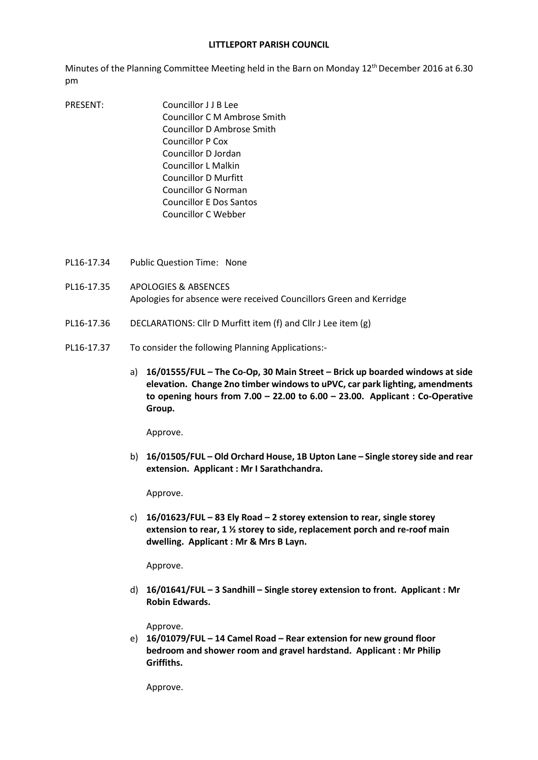## **LITTLEPORT PARISH COUNCIL**

Minutes of the Planning Committee Meeting held in the Barn on Monday 12th December 2016 at 6.30 pm

- PRESENT: Councillor J J B Lee Councillor C M Ambrose Smith Councillor D Ambrose Smith Councillor P Cox Councillor D Jordan Councillor L Malkin Councillor D Murfitt Councillor G Norman Councillor E Dos Santos Councillor C Webber
- PL16-17.34 Public Question Time: None
- PL16-17.35 APOLOGIES & ABSENCES Apologies for absence were received Councillors Green and Kerridge
- PL16-17.36 DECLARATIONS: Cllr D Murfitt item (f) and Cllr J Lee item (g)
- PL16-17.37 To consider the following Planning Applications:
	- a) **16/01555/FUL – The Co-Op, 30 Main Street – Brick up boarded windows at side elevation. Change 2no timber windows to uPVC, car park lighting, amendments to opening hours from 7.00 – 22.00 to 6.00 – 23.00. Applicant : Co-Operative Group.**

Approve.

b) **16/01505/FUL – Old Orchard House, 1B Upton Lane – Single storey side and rear extension. Applicant : Mr I Sarathchandra.**

Approve.

c) **16/01623/FUL – 83 Ely Road – 2 storey extension to rear, single storey extension to rear, 1 ½ storey to side, replacement porch and re-roof main dwelling. Applicant : Mr & Mrs B Layn.**

Approve.

d) **16/01641/FUL – 3 Sandhill – Single storey extension to front. Applicant : Mr Robin Edwards.**

Approve.

e) **16/01079/FUL – 14 Camel Road – Rear extension for new ground floor bedroom and shower room and gravel hardstand. Applicant : Mr Philip Griffiths.**

Approve.